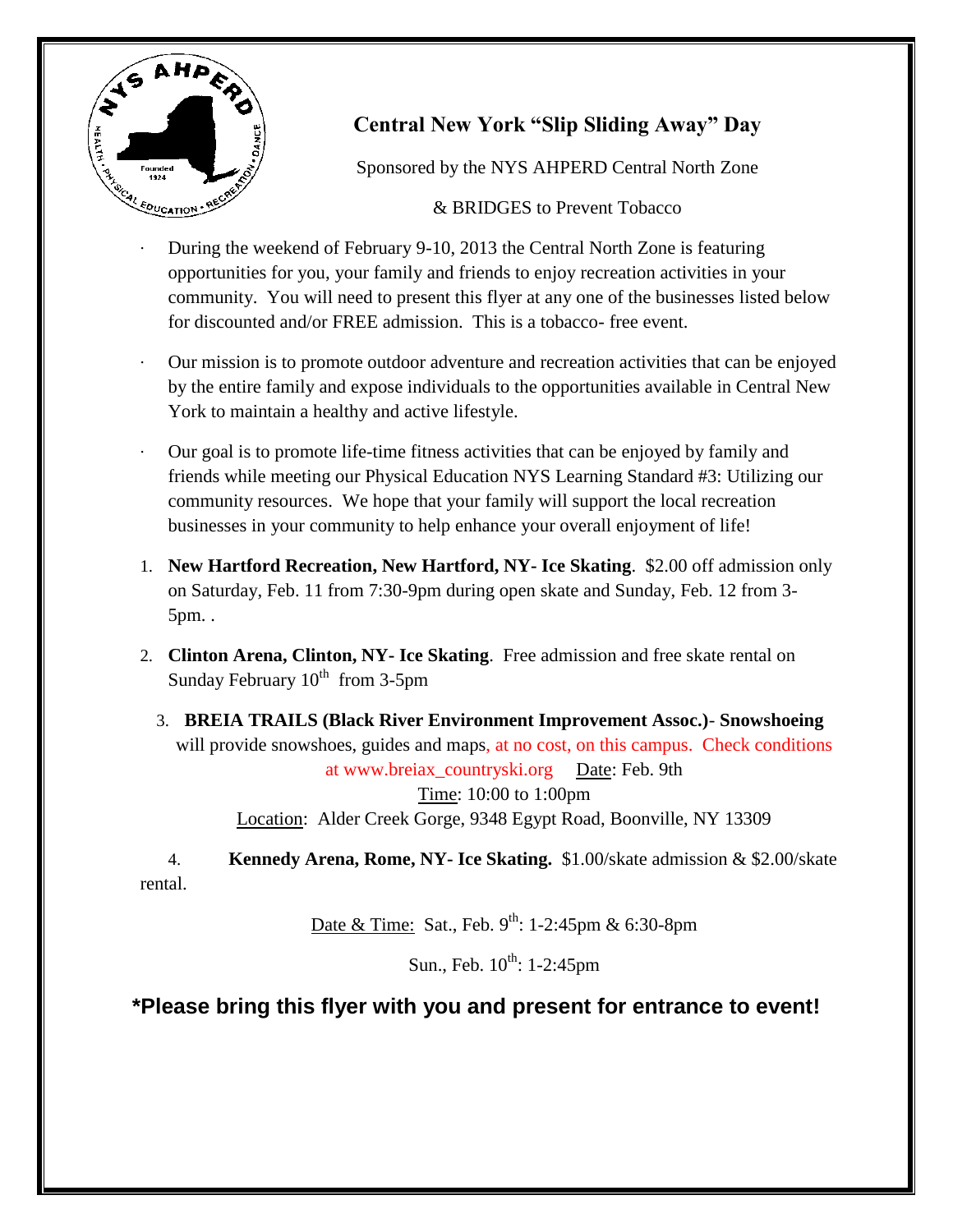

## **Central New York "Slip Sliding Away" Day**

Sponsored by the NYS AHPERD Central North Zone

& BRIDGES to Prevent Tobacco

- During the weekend of February 9-10, 2013 the Central North Zone is featuring opportunities for you, your family and friends to enjoy recreation activities in your community. You will need to present this flyer at any one of the businesses listed below for discounted and/or FREE admission. This is a tobacco- free event.
- · Our mission is to promote outdoor adventure and recreation activities that can be enjoyed by the entire family and expose individuals to the opportunities available in Central New York to maintain a healthy and active lifestyle.
- · Our goal is to promote life-time fitness activities that can be enjoyed by family and friends while meeting our Physical Education NYS Learning Standard #3: Utilizing our community resources. We hope that your family will support the local recreation businesses in your community to help enhance your overall enjoyment of life!
- 1. **New Hartford Recreation, New Hartford, NY- Ice Skating**. \$2.00 off admission only on Saturday, Feb. 11 from 7:30-9pm during open skate and Sunday, Feb. 12 from 3- 5pm. .
- 2. **Clinton Arena, Clinton, NY- Ice Skating**. Free admission and free skate rental on Sunday February  $10^{th}$  from 3-5pm
	- 3. **BREIA TRAILS (Black River Environment Improvement Assoc.) Snowshoeing** will provide snowshoes, guides and maps, at no cost, on this campus. Check conditions at www.breiax\_countryski.org Date: Feb. 9th Time: 10:00 to 1:00pm Location: Alder Creek Gorge, 9348 Egypt Road, Boonville, NY 13309

4. **Kennedy Arena, Rome, NY- Ice Skating.** \$1.00/skate admission & \$2.00/skate rental.

Date & Time: Sat., Feb.  $9^{th}$ : 1-2:45pm & 6:30-8pm

Sun., Feb.  $10^{th}$ : 1-2:45pm

## **\*Please bring this flyer with you and present for entrance to event!**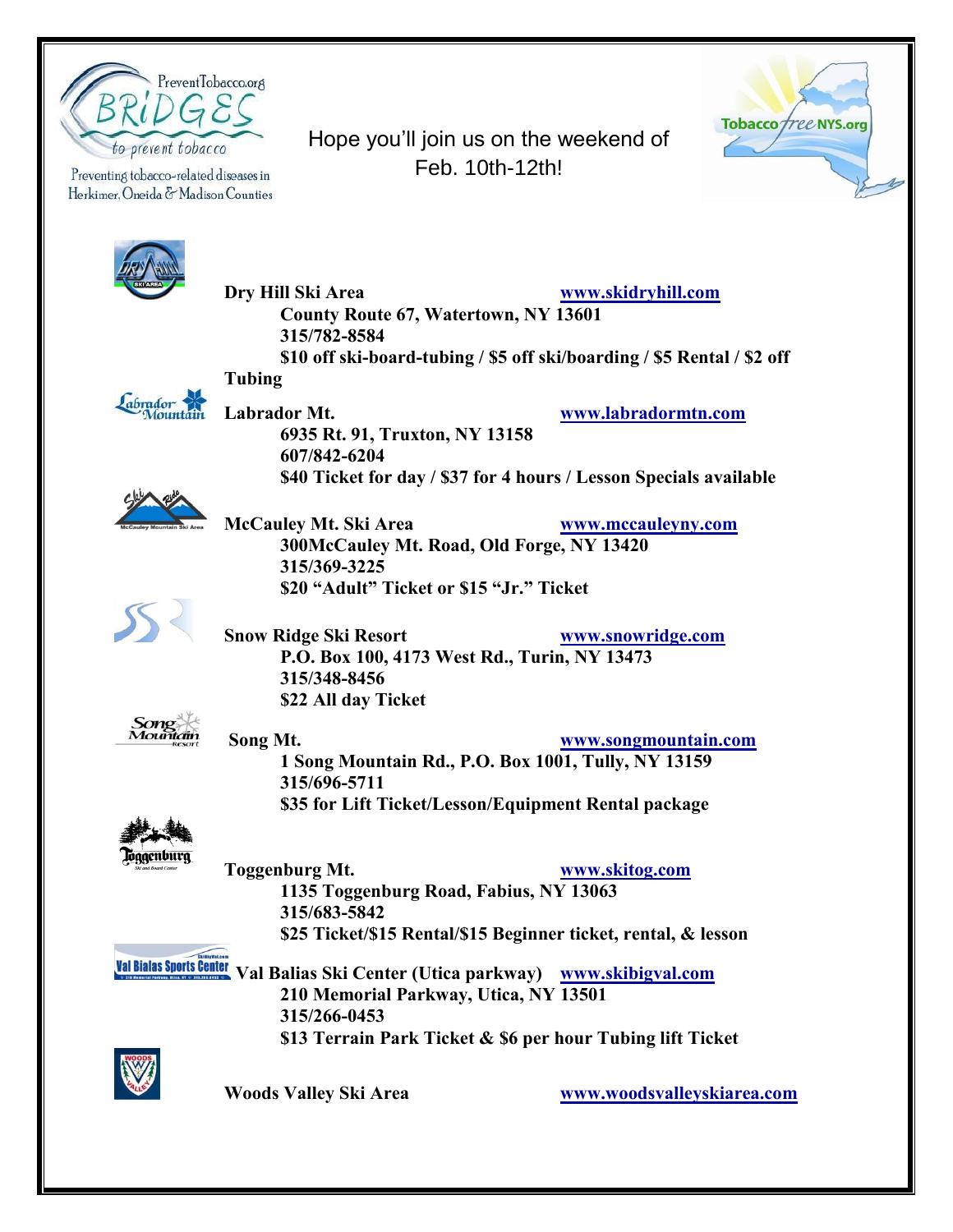

Preventing tobacco-related diseases in Herkimer, Oneida & Madison Counties





abrador

Sone

loggenburg

**Dry Hill Ski Area [www.skidryhill.com](http://www.skidryhill.com/) County Route 67, Watertown, NY 13601 315/782-8584 \$10 off ski-board-tubing / \$5 off ski/boarding / \$5 Rental / \$2 off Tubing Labrador Mt. [www.labradormtn.com](http://www.labradormtn.com/) 6935 Rt. 91, Truxton, NY 13158 607/842-6204 \$40 Ticket for day / \$37 for 4 hours / Lesson Specials available McCauley Mt. Ski Area [www.mccauleyny.com](http://www.mccauleyny.com/) 300McCauley Mt. Road, Old Forge, NY 13420 315/369-3225 \$20 "Adult" Ticket or \$15 "Jr." Ticket Snow Ridge Ski Resort [www.snowridge.com](http://www.snowridge.com/) P.O. Box 100, 4173 West Rd., Turin, NY 13473 315/348-8456 \$22 All day Ticket Song Mt. [www.songmountain.com](http://www.songmountain.com/) 1 Song Mountain Rd., P.O. Box 1001, Tully, NY 13159 315/696-5711 \$35 for Lift Ticket/Lesson/Equipment Rental package Toggenburg Mt. [www.skitog.com](http://www.skitog.com/) 1135 Toggenburg Road, Fabius, NY 13063 315/683-5842 \$25 Ticket/\$15 Rental/\$15 Beginner ticket, rental, & lesson Val Bialas Sports Center Val Balias Ski Center (Utica parkway) [www.skibigval.com](http://www.skibigval.com/) 210 Memorial Parkway, Utica, NY 13501 315/266-0453 \$13 Terrain Park Ticket & \$6 per hour Tubing lift Ticket Woods Valley Ski Area [www.woodsvalleyskiarea.com](http://www.woodsvalleyskiarea.com/)**

Hope you'll join us on the weekend of Feb. 10th-12th!